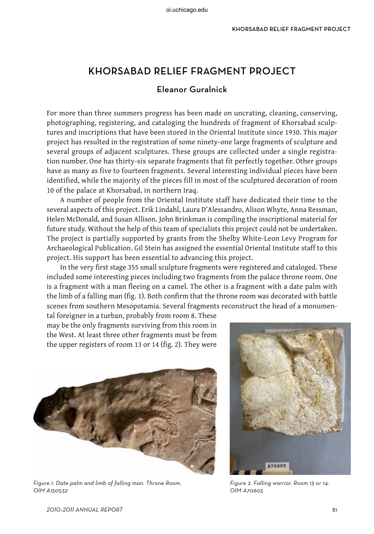# KHORSABAD Relief Fragment PROJECT

# Eleanor Guralnick

For more than three summers progress has been made on uncrating, cleaning, conserving, photographing, registering, and cataloging the hundreds of fragment of Khorsabad sculptures and inscriptions that have been stored in the Oriental Institute since 1930. This major project has resulted in the registration of some ninety-one large fragments of sculpture and several groups of adjacent sculptures. These groups are collected under a single registration number. One has thirty-six separate fragments that fit perfectly together. Other groups have as many as five to fourteen fragments. Several interesting individual pieces have been identified, while the majority of the pieces fill in most of the sculptured decoration of room 10 of the palace at Khorsabad, in northern Iraq.

A number of people from the Oriental Institute staff have dedicated their time to the several aspects of this project. Erik Lindahl, Laura D'Alessandro, Alison Whyte, Anna Ressman, Helen McDonald, and Susan Allison. John Brinkman is compiling the inscriptional material for future study. Without the help of this team of specialists this project could not be undertaken. The project is partially supported by grants from the Shelby White-Leon Levy Program for Archaeological Publication. Gil Stein has assigned the essential Oriental Institute staff to this project. His support has been essential to advancing this project.

In the very first stage 355 small sculpture fragments were registered and cataloged. These included some interesting pieces including two fragments from the palace throne room. One is a fragment with a man fleeing on a camel. The other is a fragment with a date palm with the limb of a falling man (fig. 1). Both confirm that the throne room was decorated with battle scenes from southern Mesopotamia. Several fragments reconstruct the head of a monumen-

tal foreigner in a turban, probably from room 8. These may be the only fragments surviving from this room in the West. At least three other fragments must be from the upper registers of room 13 or 14 (fig. 2). They were



Figure 1. Date palm and limb of falling man. Throne Room. OIM A150532



Figure 2. Falling warrior. Room 13 or 14. OIM A70605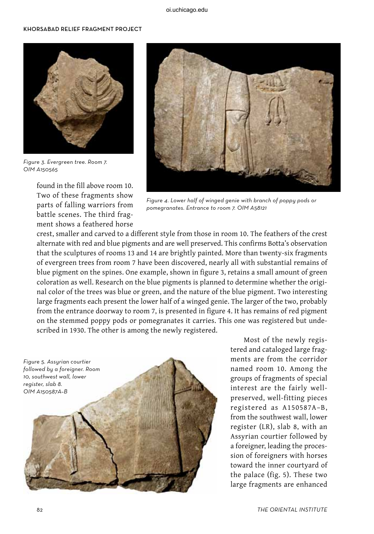#### khorsabad Relief fragment project



Figure 3. Evergreen tree. Room 7. OIM A150565

found in the fill above room 10. Two of these fragments show parts of falling warriors from battle scenes. The third fragment shows a feathered horse



Figure 4. Lower half of winged genie with branch of poppy pods or pomegranates. Entrance to room 7. OIM A58121

crest, smaller and carved to a different style from those in room 10. The feathers of the crest alternate with red and blue pigments and are well preserved. This confirms Botta's observation that the sculptures of rooms 13 and 14 are brightly painted. More than twenty-six fragments of evergreen trees from room 7 have been discovered, nearly all with substantial remains of blue pigment on the spines. One example, shown in figure 3, retains a small amount of green coloration as well. Research on the blue pigments is planned to determine whether the original color of the trees was blue or green, and the nature of the blue pigment. Two interesting large fragments each present the lower half of a winged genie. The larger of the two, probably from the entrance doorway to room 7, is presented in figure 4. It has remains of red pigment on the stemmed poppy pods or pomegranates it carries. This one was registered but undescribed in 1930. The other is among the newly registered.



Most of the newly registered and cataloged large fragments are from the corridor named room 10. Among the groups of fragments of special interest are the fairly wellpreserved, well-fitting pieces registered as A150587A–B, from the southwest wall, lower register (LR), slab 8, with an Assyrian courtier followed by a foreigner, leading the procession of foreigners with horses toward the inner courtyard of the palace (fig. 5). These two large fragments are enhanced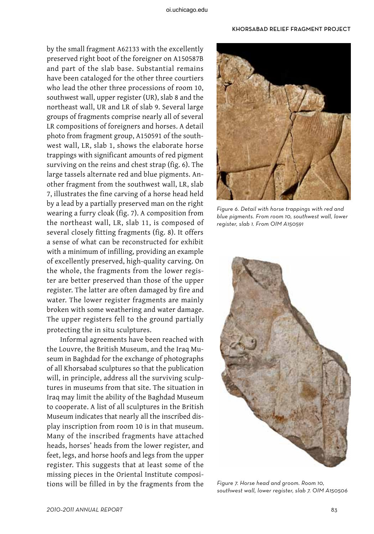#### khorsabad Relief fragment project

by the small fragment A62133 with the excellently preserved right boot of the foreigner on A150587B and part of the slab base. Substantial remains have been cataloged for the other three courtiers who lead the other three processions of room 10, southwest wall, upper register (UR), slab 8 and the northeast wall, UR and LR of slab 9. Several large groups of fragments comprise nearly all of several LR compositions of foreigners and horses. A detail photo from fragment group, A150591 of the southwest wall, LR, slab 1, shows the elaborate horse trappings with significant amounts of red pigment surviving on the reins and chest strap (fig. 6). The large tassels alternate red and blue pigments. Another fragment from the southwest wall, LR, slab 7, illustrates the fine carving of a horse head held by a lead by a partially preserved man on the right wearing a furry cloak (fig. 7). A composition from the northeast wall, LR, slab 11, is composed of several closely fitting fragments (fig. 8). It offers a sense of what can be reconstructed for exhibit with a minimum of infilling, providing an example of excellently preserved, high-quality carving. On the whole, the fragments from the lower register are better preserved than those of the upper register. The latter are often damaged by fire and water. The lower register fragments are mainly broken with some weathering and water damage. The upper registers fell to the ground partially protecting the in situ sculptures.

Informal agreements have been reached with the Louvre, the British Museum, and the Iraq Museum in Baghdad for the exchange of photographs of all Khorsabad sculptures so that the publication will, in principle, address all the surviving sculptures in museums from that site. The situation in Iraq may limit the ability of the Baghdad Museum to cooperate. A list of all sculptures in the British Museum indicates that nearly all the inscribed display inscription from room 10 is in that museum. Many of the inscribed fragments have attached heads, horses' heads from the lower register, and feet, legs, and horse hoofs and legs from the upper register. This suggests that at least some of the missing pieces in the Oriental Institute compositions will be filled in by the fragments from the



Figure 6. Detail with horse trappings with red and blue pigments. From room 10, southwest wall, lower register, slab 1. From OIM A150591



Figure 7. Horse head and groom. Room 10, southwest wall, lower register, slab 7. OIM A150506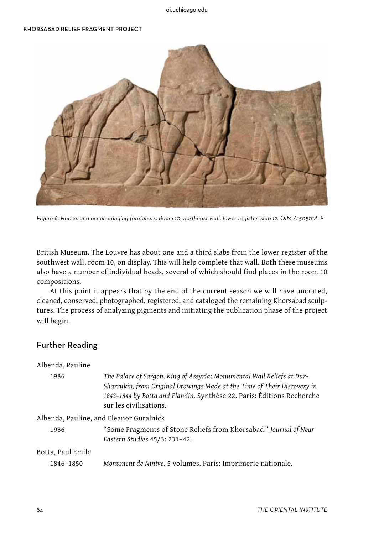### khorsabad Relief fragment project



Figure 8. Horses and accompanying foreigners. Room 10, northeast wall, lower register, slab 12. OIM A150501A–F

British Museum. The Louvre has about one and a third slabs from the lower register of the southwest wall, room 10, on display. This will help complete that wall. Both these museums also have a number of individual heads, several of which should find places in the room 10 compositions.

At this point it appears that by the end of the current season we will have uncrated, cleaned, conserved, photographed, registered, and cataloged the remaining Khorsabad sculptures. The process of analyzing pigments and initiating the publication phase of the project will begin.

## Further Reading

| Albenda, Pauline |  |
|------------------|--|
|------------------|--|

| 1986 | The Palace of Sargon, King of Assyria: Monumental Wall Reliefs at Dur-   |
|------|--------------------------------------------------------------------------|
|      | Sharrukin, from Original Drawings Made at the Time of Their Discovery in |
|      | 1843-1844 by Botta and Flandin. Synthèse 22. Paris: Éditions Recherche   |
|      | sur les civilisations.                                                   |
|      |                                                                          |

Albenda, Pauline, and Eleanor Guralnick

1986 "Some Fragments of Stone Reliefs from Khorsabad." *Journal of Near Eastern Studies* 45/3: 231–42.

### Botta, Paul Emile